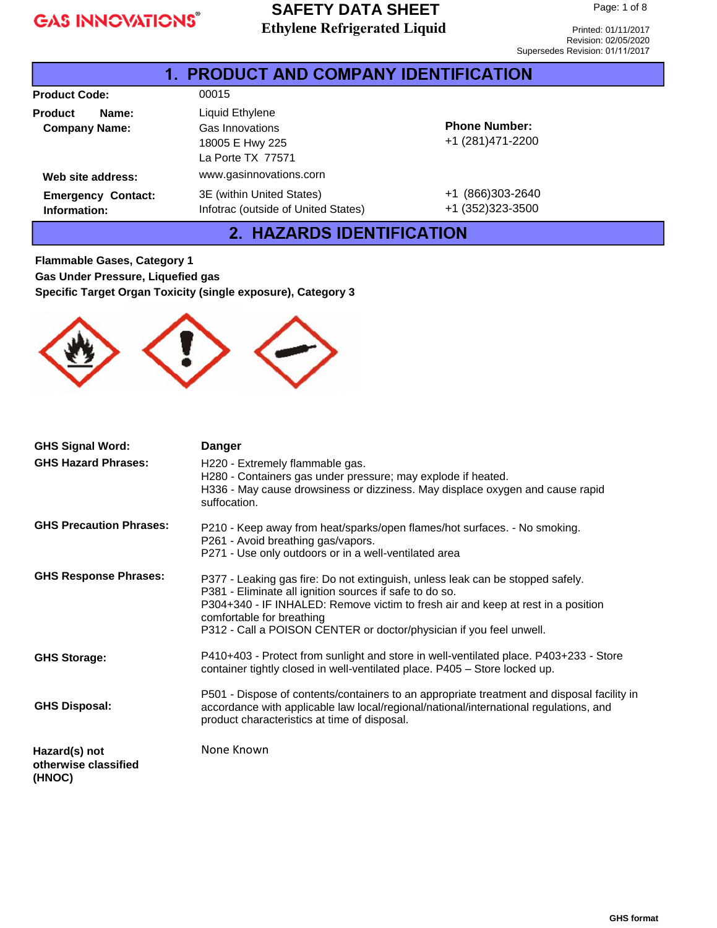### **SAFETY DATA SHEET Ethylene Refrigerated Liquid**

Printed: 01/11/2017 Revision: 02/05/2020 Supersedes Revision: 01/11/2017

|                                                 | 1. PRODUCT AND COMPANY IDENTIFICATION                                      |                                           |  |
|-------------------------------------------------|----------------------------------------------------------------------------|-------------------------------------------|--|
| <b>Product Code:</b>                            | 00015                                                                      |                                           |  |
| <b>Product</b><br>Name:<br><b>Company Name:</b> | Liquid Ethylene<br>Gas Innovations<br>18005 E Hwy 225<br>La Porte TX 77571 | <b>Phone Number:</b><br>+1 (281) 471-2200 |  |
| Web site address:                               | www.gasinnovations.corn                                                    |                                           |  |
| <b>Emergency Contact:</b><br>Information:       | 3E (within United States)<br>Infotrac (outside of United States)           | +1 (866)303-2640<br>+1 (352) 323-3500     |  |

### 2. HAZARDS IDENTIFICATION

**Flammable Gases, Category 1 Gas Under Pressure, Liquefied gas Specific Target Organ Toxicity (single exposure), Category 3**



| <b>GHS Signal Word:</b>                         | <b>Danger</b>                                                                                                                                                                                                                                                                                                                     |
|-------------------------------------------------|-----------------------------------------------------------------------------------------------------------------------------------------------------------------------------------------------------------------------------------------------------------------------------------------------------------------------------------|
| <b>GHS Hazard Phrases:</b>                      | H220 - Extremely flammable gas.<br>H280 - Containers gas under pressure; may explode if heated.<br>H336 - May cause drowsiness or dizziness. May displace oxygen and cause rapid<br>suffocation.                                                                                                                                  |
| <b>GHS Precaution Phrases:</b>                  | P210 - Keep away from heat/sparks/open flames/hot surfaces. - No smoking.<br>P261 - Avoid breathing gas/vapors.<br>P271 - Use only outdoors or in a well-ventilated area                                                                                                                                                          |
| <b>GHS Response Phrases:</b>                    | P377 - Leaking gas fire: Do not extinguish, unless leak can be stopped safely.<br>P381 - Eliminate all ignition sources if safe to do so.<br>P304+340 - IF INHALED: Remove victim to fresh air and keep at rest in a position<br>comfortable for breathing<br>P312 - Call a POISON CENTER or doctor/physician if you feel unwell. |
| <b>GHS Storage:</b>                             | P410+403 - Protect from sunlight and store in well-ventilated place. P403+233 - Store<br>container tightly closed in well-ventilated place. P405 - Store locked up.                                                                                                                                                               |
| <b>GHS Disposal:</b>                            | P501 - Dispose of contents/containers to an appropriate treatment and disposal facility in<br>accordance with applicable law local/regional/national/international regulations, and<br>product characteristics at time of disposal.                                                                                               |
| Hazard(s) not<br>otherwise classified<br>(HNOC) | None Known                                                                                                                                                                                                                                                                                                                        |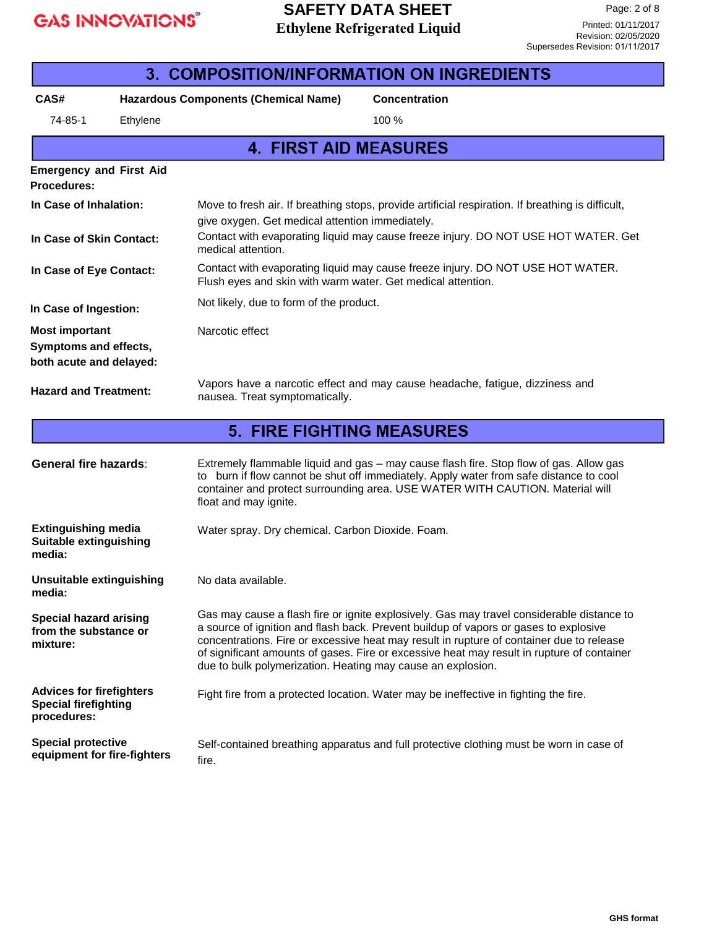### **SAFETY DATA SHEET Ethylene Refrigerated Liquid**

| <b>3. COMPOSITION/INFORMATION ON INGREDIENTS</b>                              |                             |                                                             |                                                                                                                                                                                                                                                                                                                                                                             |
|-------------------------------------------------------------------------------|-----------------------------|-------------------------------------------------------------|-----------------------------------------------------------------------------------------------------------------------------------------------------------------------------------------------------------------------------------------------------------------------------------------------------------------------------------------------------------------------------|
| CAS#                                                                          |                             | <b>Hazardous Components (Chemical Name)</b>                 | <b>Concentration</b>                                                                                                                                                                                                                                                                                                                                                        |
| 74-85-1                                                                       | Ethylene                    |                                                             | 100 %                                                                                                                                                                                                                                                                                                                                                                       |
|                                                                               |                             | <b>4. FIRST AID MEASURES</b>                                |                                                                                                                                                                                                                                                                                                                                                                             |
| <b>Emergency and First Aid</b><br>Procedures:                                 |                             |                                                             |                                                                                                                                                                                                                                                                                                                                                                             |
| In Case of Inhalation:                                                        |                             | give oxygen. Get medical attention immediately.             | Move to fresh air. If breathing stops, provide artificial respiration. If breathing is difficult,                                                                                                                                                                                                                                                                           |
| In Case of Skin Contact:                                                      |                             | medical attention.                                          | Contact with evaporating liquid may cause freeze injury. DO NOT USE HOT WATER. Get                                                                                                                                                                                                                                                                                          |
| In Case of Eye Contact:                                                       |                             | Flush eyes and skin with warm water. Get medical attention. | Contact with evaporating liquid may cause freeze injury. DO NOT USE HOT WATER.                                                                                                                                                                                                                                                                                              |
| In Case of Ingestion:                                                         |                             | Not likely, due to form of the product.                     |                                                                                                                                                                                                                                                                                                                                                                             |
| <b>Most important</b><br>Symptoms and effects,<br>both acute and delayed:     |                             | Narcotic effect                                             |                                                                                                                                                                                                                                                                                                                                                                             |
| <b>Hazard and Treatment:</b>                                                  |                             | nausea. Treat symptomatically.                              | Vapors have a narcotic effect and may cause headache, fatigue, dizziness and                                                                                                                                                                                                                                                                                                |
|                                                                               |                             | <b>5. FIRE FIGHTING MEASURES</b>                            |                                                                                                                                                                                                                                                                                                                                                                             |
| <b>General fire hazards:</b>                                                  |                             | float and may ignite.                                       | Extremely flammable liquid and gas - may cause flash fire. Stop flow of gas. Allow gas<br>to burn if flow cannot be shut off immediately. Apply water from safe distance to cool<br>container and protect surrounding area. USE WATER WITH CAUTION. Material will                                                                                                           |
| <b>Extinguishing media</b><br><b>Suitable extinguishing</b><br>media:         |                             | Water spray. Dry chemical. Carbon Dioxide. Foam.            |                                                                                                                                                                                                                                                                                                                                                                             |
| Unsuitable extinguishing<br>media:                                            |                             | No data available.                                          |                                                                                                                                                                                                                                                                                                                                                                             |
| <b>Special hazard arising</b><br>from the substance or<br>mixture:            |                             | due to bulk polymerization. Heating may cause an explosion. | Gas may cause a flash fire or ignite explosively. Gas may travel considerable distance to<br>a source of ignition and flash back. Prevent buildup of vapors or gases to explosive<br>concentrations. Fire or excessive heat may result in rupture of container due to release<br>of significant amounts of gases. Fire or excessive heat may result in rupture of container |
| <b>Advices for firefighters</b><br><b>Special firefighting</b><br>procedures: |                             |                                                             | Fight fire from a protected location. Water may be ineffective in fighting the fire.                                                                                                                                                                                                                                                                                        |
| <b>Special protective</b>                                                     | equipment for fire-fighters | fire.                                                       | Self-contained breathing apparatus and full protective clothing must be worn in case of                                                                                                                                                                                                                                                                                     |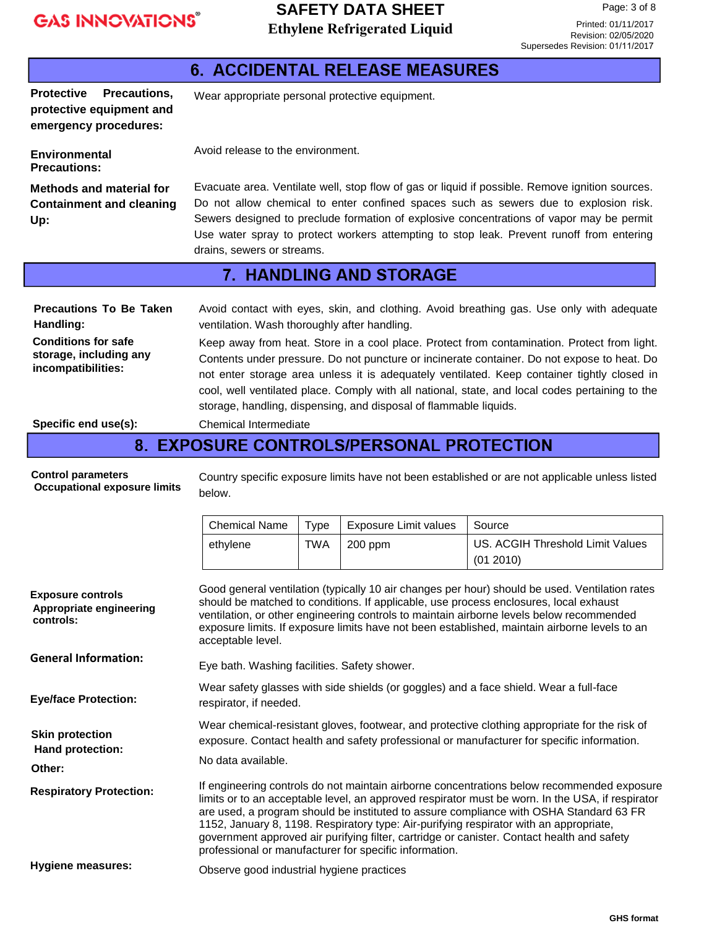### **SAFETY DATA SHEET Ethylene Refrigerated Liquid**

Page: 3 of 8

Printed: 01/11/2017 Revision: 02/05/2020 Supersedes Revision: 01/11/2017

|                                                                                                                                                   |                                                                                                                                                                                                                                                                                                                                                                                                                                                                                                                                                                                                               |             | <b>6. ACCIDENTAL RELEASE MEASURES</b> |                                                                                                                                                                                                                                                                                                                                                                                 |
|---------------------------------------------------------------------------------------------------------------------------------------------------|---------------------------------------------------------------------------------------------------------------------------------------------------------------------------------------------------------------------------------------------------------------------------------------------------------------------------------------------------------------------------------------------------------------------------------------------------------------------------------------------------------------------------------------------------------------------------------------------------------------|-------------|---------------------------------------|---------------------------------------------------------------------------------------------------------------------------------------------------------------------------------------------------------------------------------------------------------------------------------------------------------------------------------------------------------------------------------|
| Precautions,<br><b>Protective</b><br>protective equipment and<br>emergency procedures:                                                            | Wear appropriate personal protective equipment.                                                                                                                                                                                                                                                                                                                                                                                                                                                                                                                                                               |             |                                       |                                                                                                                                                                                                                                                                                                                                                                                 |
| Environmental<br><b>Precautions:</b>                                                                                                              | Avoid release to the environment.                                                                                                                                                                                                                                                                                                                                                                                                                                                                                                                                                                             |             |                                       |                                                                                                                                                                                                                                                                                                                                                                                 |
| <b>Methods and material for</b><br><b>Containment and cleaning</b><br>Up:                                                                         | drains, sewers or streams.                                                                                                                                                                                                                                                                                                                                                                                                                                                                                                                                                                                    |             |                                       | Evacuate area. Ventilate well, stop flow of gas or liquid if possible. Remove ignition sources.<br>Do not allow chemical to enter confined spaces such as sewers due to explosion risk.<br>Sewers designed to preclude formation of explosive concentrations of vapor may be permit<br>Use water spray to protect workers attempting to stop leak. Prevent runoff from entering |
|                                                                                                                                                   |                                                                                                                                                                                                                                                                                                                                                                                                                                                                                                                                                                                                               |             | <b>7. HANDLING AND STORAGE</b>        |                                                                                                                                                                                                                                                                                                                                                                                 |
| <b>Precautions To Be Taken</b><br>Handling:<br><b>Conditions for safe</b><br>storage, including any<br>incompatibilities:<br>Specific end use(s): | Avoid contact with eyes, skin, and clothing. Avoid breathing gas. Use only with adequate<br>ventilation. Wash thoroughly after handling.<br>Keep away from heat. Store in a cool place. Protect from contamination. Protect from light.<br>Contents under pressure. Do not puncture or incinerate container. Do not expose to heat. Do<br>not enter storage area unless it is adequately ventilated. Keep container tightly closed in<br>cool, well ventilated place. Comply with all national, state, and local codes pertaining to the<br>storage, handling, dispensing, and disposal of flammable liquids. |             |                                       |                                                                                                                                                                                                                                                                                                                                                                                 |
|                                                                                                                                                   | <b>Chemical Intermediate</b>                                                                                                                                                                                                                                                                                                                                                                                                                                                                                                                                                                                  |             |                                       |                                                                                                                                                                                                                                                                                                                                                                                 |
| <b>Control parameters</b><br><b>Occupational exposure limits</b>                                                                                  | 8. EXPOSURE CONTROLS/PERSONAL PROTECTION<br>Country specific exposure limits have not been established or are not applicable unless listed<br>below.                                                                                                                                                                                                                                                                                                                                                                                                                                                          |             |                                       |                                                                                                                                                                                                                                                                                                                                                                                 |
|                                                                                                                                                   | <b>Chemical Name</b>                                                                                                                                                                                                                                                                                                                                                                                                                                                                                                                                                                                          | <b>Type</b> | <b>Exposure Limit values</b>          | Source                                                                                                                                                                                                                                                                                                                                                                          |
|                                                                                                                                                   | ethylene                                                                                                                                                                                                                                                                                                                                                                                                                                                                                                                                                                                                      | <b>TWA</b>  | 200 ppm                               | US. ACGIH Threshold Limit Values<br>(01 2010)                                                                                                                                                                                                                                                                                                                                   |
| <b>Exposure controls</b><br>Appropriate engineering<br>controls:                                                                                  | Good general ventilation (typically 10 air changes per hour) should be used. Ventilation rates<br>should be matched to conditions. If applicable, use process enclosures, local exhaust<br>ventilation, or other engineering controls to maintain airborne levels below recommended<br>exposure limits. If exposure limits have not been established, maintain airborne levels to an<br>acceptable level.                                                                                                                                                                                                     |             |                                       |                                                                                                                                                                                                                                                                                                                                                                                 |
| <b>General Information:</b>                                                                                                                       | Eye bath. Washing facilities. Safety shower.                                                                                                                                                                                                                                                                                                                                                                                                                                                                                                                                                                  |             |                                       |                                                                                                                                                                                                                                                                                                                                                                                 |
| <b>Eye/face Protection:</b>                                                                                                                       | Wear safety glasses with side shields (or goggles) and a face shield. Wear a full-face<br>respirator, if needed.                                                                                                                                                                                                                                                                                                                                                                                                                                                                                              |             |                                       |                                                                                                                                                                                                                                                                                                                                                                                 |
| <b>Skin protection</b><br>Hand protection:                                                                                                        | Wear chemical-resistant gloves, footwear, and protective clothing appropriate for the risk of<br>exposure. Contact health and safety professional or manufacturer for specific information.                                                                                                                                                                                                                                                                                                                                                                                                                   |             |                                       |                                                                                                                                                                                                                                                                                                                                                                                 |
| Other:                                                                                                                                            | No data available.                                                                                                                                                                                                                                                                                                                                                                                                                                                                                                                                                                                            |             |                                       |                                                                                                                                                                                                                                                                                                                                                                                 |
| <b>Respiratory Protection:</b>                                                                                                                    | If engineering controls do not maintain airborne concentrations below recommended exposure<br>limits or to an acceptable level, an approved respirator must be worn. In the USA, if respirator<br>are used, a program should be instituted to assure compliance with OSHA Standard 63 FR<br>1152, January 8, 1198. Respiratory type: Air-purifying respirator with an appropriate,<br>government approved air purifying filter, cartridge or canister. Contact health and safety<br>professional or manufacturer for specific information.                                                                    |             |                                       |                                                                                                                                                                                                                                                                                                                                                                                 |
| <b>Hygiene measures:</b>                                                                                                                          | Observe good industrial hygiene practices                                                                                                                                                                                                                                                                                                                                                                                                                                                                                                                                                                     |             |                                       |                                                                                                                                                                                                                                                                                                                                                                                 |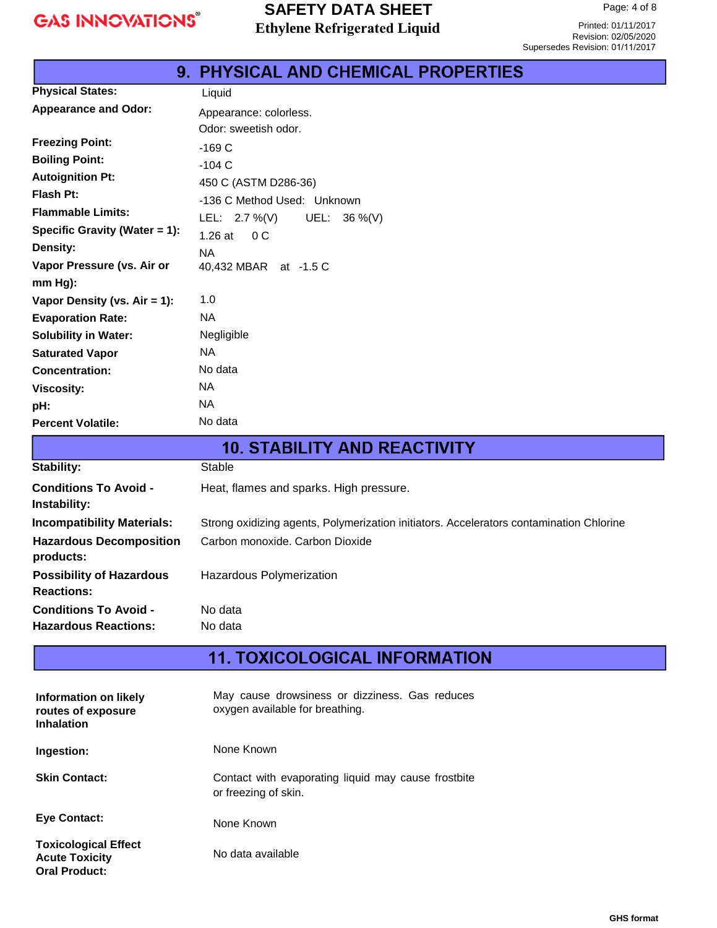### **SAFETY DATA SHEET Ethylene Refrigerated Liquid**

Printed: 01/11/2017 Revision: 02/05/2020 Supersedes Revision: 01/11/2017

|                               | しぃしい                                       |
|-------------------------------|--------------------------------------------|
|                               | <b>9. PHYSICAL AND CHEMICAL PROPERTIES</b> |
| <b>Physical States:</b>       | Liquid                                     |
| <b>Appearance and Odor:</b>   | Appearance: colorless.                     |
|                               | Odor: sweetish odor.                       |
| <b>Freezing Point:</b>        | $-169C$                                    |
| <b>Boiling Point:</b>         | $-104C$                                    |
| <b>Autoignition Pt:</b>       | 450 C (ASTM D286-36)                       |
| Flash Pt:                     | -136 C Method Used: Unknown                |
| <b>Flammable Limits:</b>      | LEL: $2.7\%$ (V)<br>UEL: $36\%$ (V)        |
| Specific Gravity (Water = 1): | $1.26$ at<br>0 <sup>C</sup>                |
| Density:                      | <b>NA</b>                                  |
| Vapor Pressure (vs. Air or    | 40,432 MBAR at -1.5 C                      |
| mm Hg):                       |                                            |
| Vapor Density (vs. Air = 1):  | 1.0                                        |
| <b>Evaporation Rate:</b>      | <b>NA</b>                                  |
| <b>Solubility in Water:</b>   | Negligible                                 |
| <b>Saturated Vapor</b>        | <b>NA</b>                                  |
| <b>Concentration:</b>         | No data                                    |
| <b>Viscosity:</b>             | <b>NA</b>                                  |
| pH:                           | <b>NA</b>                                  |
| <b>Percent Volatile:</b>      | No data                                    |

| <b>10. STABILITY AND REACTIVITY</b>                  |                                                                                         |  |
|------------------------------------------------------|-----------------------------------------------------------------------------------------|--|
| Stability:                                           | Stable                                                                                  |  |
| <b>Conditions To Avoid -</b><br>Instability:         | Heat, flames and sparks. High pressure.                                                 |  |
| <b>Incompatibility Materials:</b>                    | Strong oxidizing agents, Polymerization initiators. Accelerators contamination Chlorine |  |
| <b>Hazardous Decomposition</b><br>products:          | Carbon monoxide, Carbon Dioxide                                                         |  |
| <b>Possibility of Hazardous</b><br><b>Reactions:</b> | Hazardous Polymerization                                                                |  |
| <b>Conditions To Avoid -</b>                         | No data                                                                                 |  |
| <b>Hazardous Reactions:</b>                          | No data                                                                                 |  |

## **11. TOXICOLOGICAL INFORMATION**

| Information on likely<br>routes of exposure<br><b>Inhalation</b>             | May cause drowsiness or dizziness. Gas reduces<br>oxygen available for breathing. |
|------------------------------------------------------------------------------|-----------------------------------------------------------------------------------|
| Ingestion:                                                                   | None Known                                                                        |
| <b>Skin Contact:</b>                                                         | Contact with evaporating liquid may cause frostbite<br>or freezing of skin.       |
| <b>Eve Contact:</b>                                                          | None Known                                                                        |
| <b>Toxicological Effect</b><br><b>Acute Toxicity</b><br><b>Oral Product:</b> | No data available                                                                 |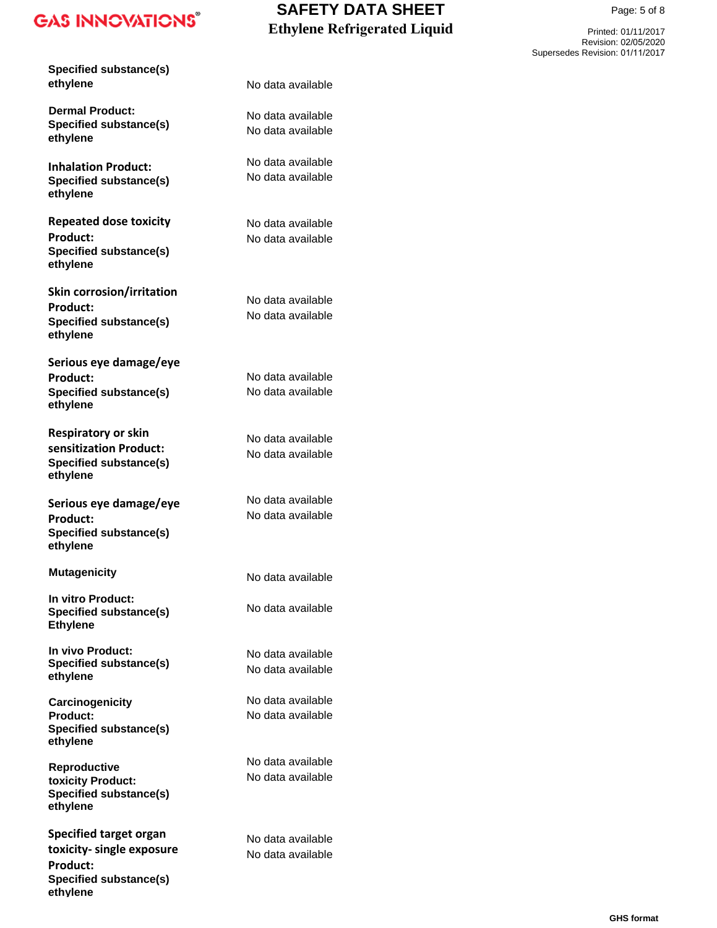**Specified substance(s) ethylene**

**Dermal Product: Specified substance(s) ethylene**

**Inhalation Product: Specified substance(s) ethylene**

**Repeated dose toxicity Product: Specified substance(s) ethylene**

**Skin corrosion/irritation Product: Specified substance(s) ethylene**

**Serious eye damage/eye Product: Specified substance(s) ethylene**

**Respiratory or skin sensitization Product: Specified substance(s) ethylene**

**Serious eye damage/eye Product: Specified substance(s) ethylene**

**Mutagenicity**

**In vitro Product: Specified substance(s) Ethylene**

**In vivo Product: Specified substance(s) ethylene**

**Carcinogenicity Product: Specified substance(s) ethylene**

**Reproductive toxicity Product: Specified substance(s) ethylene**

**Specified target organ toxicity- single exposure Product: Specified substance(s) ethylene**

### **SAFETY DATA SHEET Ethylene Refrigerated Liquid**

Printed: 01/11/2017 Revision: 02/05/2020 Supersedes Revision: 01/11/2017

Page: 5 of 8

No data available

No data available No data available

No data available No data available

No data available No data available

No data available No data available

No data available No data available

No data available No data available

No data available No data available

No data available

No data available

No data available No data available

No data available No data available

No data available No data available

No data available No data available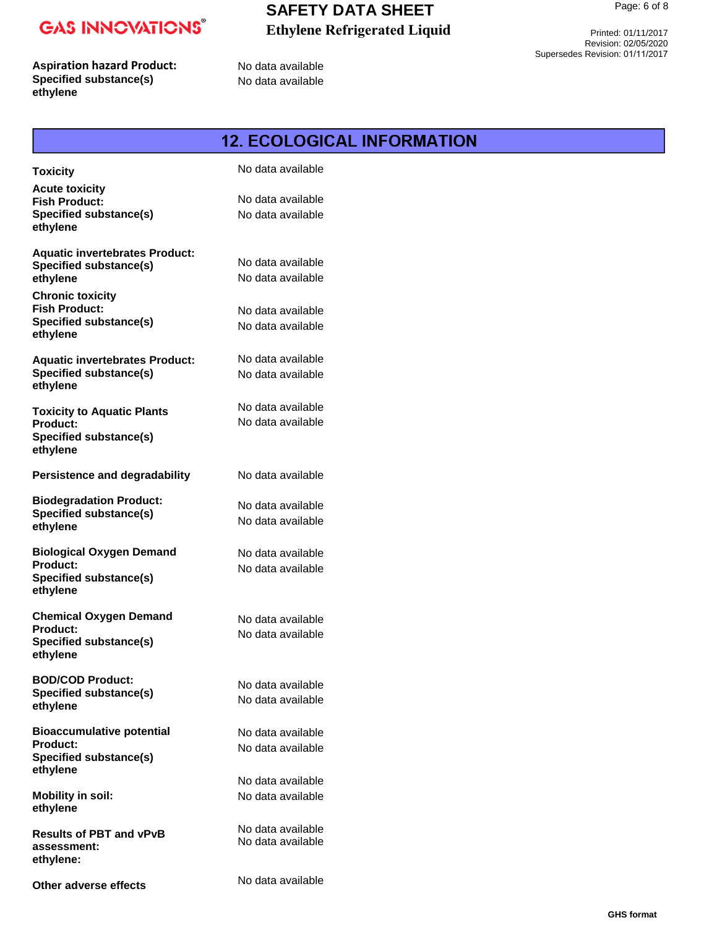### **SAFETY DATA SHEET Ethylene Refrigerated Liquid**

**Aspiration hazard Product: Specified substance(s) ethylene**

No data available No data available

Printed: 01/11/2017 Revision: 02/05/2020 Supersedes Revision: 01/11/2017

|                                                                                                               | <b>12. ECOLOGICAL INFORMATION</b>                           |
|---------------------------------------------------------------------------------------------------------------|-------------------------------------------------------------|
| <b>Toxicity</b>                                                                                               | No data available                                           |
| <b>Acute toxicity</b><br><b>Fish Product:</b><br>Specified substance(s)<br>ethylene                           | No data available<br>No data available                      |
| <b>Aquatic invertebrates Product:</b><br><b>Specified substance(s)</b><br>ethylene<br><b>Chronic toxicity</b> | No data available<br>No data available                      |
| <b>Fish Product:</b><br><b>Specified substance(s)</b><br>ethylene                                             | No data available<br>No data available                      |
| <b>Aquatic invertebrates Product:</b><br><b>Specified substance(s)</b><br>ethylene                            | No data available<br>No data available                      |
| <b>Toxicity to Aquatic Plants</b><br>Product:<br>Specified substance(s)<br>ethylene                           | No data available<br>No data available                      |
| <b>Persistence and degradability</b>                                                                          | No data available                                           |
| <b>Biodegradation Product:</b><br><b>Specified substance(s)</b><br>ethylene                                   | No data available<br>No data available                      |
| <b>Biological Oxygen Demand</b><br>Product:<br>Specified substance(s)<br>ethylene                             | No data available<br>No data available                      |
| <b>Chemical Oxygen Demand</b><br><b>Product:</b><br><b>Specified substance(s)</b><br>ethylene                 | No data available<br>No data available                      |
| <b>BOD/COD Product:</b><br><b>Specified substance(s)</b><br>ethylene                                          | No data available<br>No data available                      |
| <b>Bioaccumulative potential</b><br><b>Product:</b><br><b>Specified substance(s)</b><br>ethylene              | No data available<br>No data available<br>No data available |
| <b>Mobility in soil:</b><br>ethylene                                                                          | No data available                                           |
| <b>Results of PBT and vPvB</b><br>assessment:<br>ethylene:                                                    | No data available<br>No data available                      |

No data available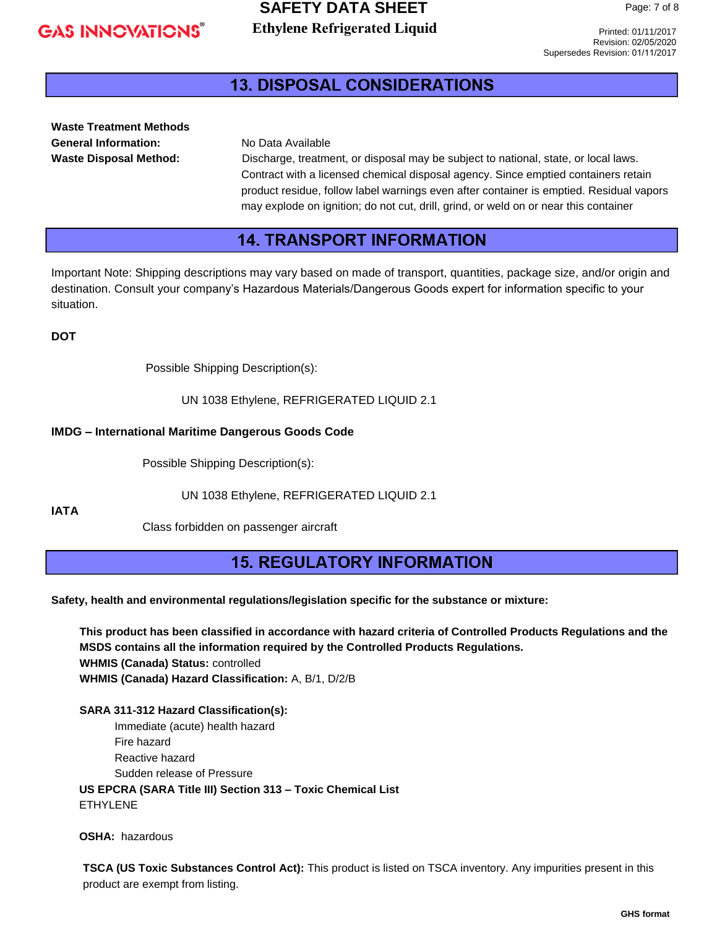#### **SAFETY DATA SHEET Ethylene Refrigerated Liquid**

Printed: 01/11/2017 Revision: 02/05/2020 Supersedes Revision: 01/11/2017

### **13. DISPOSAL CONSIDERATIONS**

**Waste Treatment Methods General Information:** No Data Available

**Waste Disposal Method:** Discharge, treatment, or disposal may be subject to national, state, or local laws. Contract with a licensed chemical disposal agency. Since emptied containers retain product residue, follow label warnings even after container is emptied. Residual vapors may explode on ignition; do not cut, drill, grind, or weld on or near this container

### **14. TRANSPORT INFORMATION**

Important Note: Shipping descriptions may vary based on made of transport, quantities, package size, and/or origin and destination. Consult your company's Hazardous Materials/Dangerous Goods expert for information specific to your situation.

**DOT**

Possible Shipping Description(s):

UN 1038 Ethylene, REFRIGERATED LIQUID 2.1

#### **IMDG – International Maritime Dangerous Goods Code**

Possible Shipping Description(s):

UN 1038 Ethylene, REFRIGERATED LIQUID 2.1

**IATA**

Class forbidden on passenger aircraft

### **15. REGULATORY INFORMATION**

**Safety, health and environmental regulations/legislation specific for the substance or mixture:**

**This product has been classified in accordance with hazard criteria of Controlled Products Regulations and the MSDS contains all the information required by the Controlled Products Regulations. WHMIS (Canada) Status:** controlled **WHMIS (Canada) Hazard Classification:** A, B/1, D/2/B

**SARA 311-312 Hazard Classification(s):** Immediate (acute) health hazard Fire hazard Reactive hazard Sudden release of Pressure  **US EPCRA (SARA Title III) Section 313 – Toxic Chemical List** ETHYLENE

 **OSHA:** hazardous

**TSCA (US Toxic Substances Control Act):** This product is listed on TSCA inventory. Any impurities present in this product are exempt from listing.